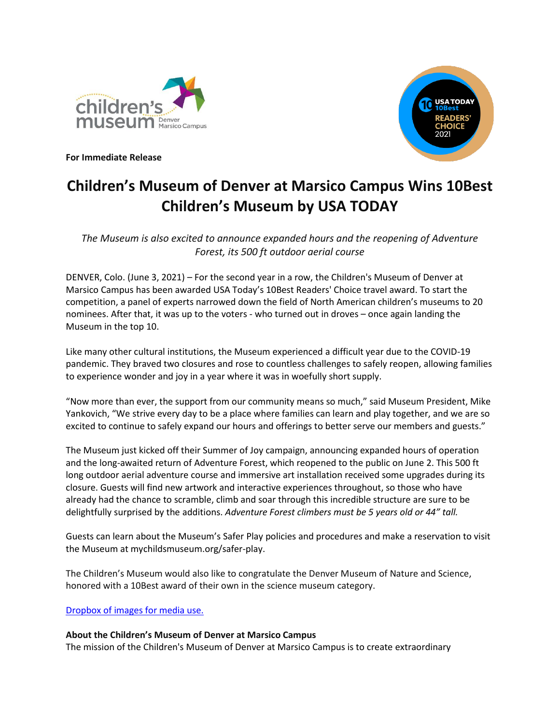



**For Immediate Release**

## **Children's Museum of Denver at Marsico Campus Wins 10Best Children's Museum by USA TODAY**

*The Museum is also excited to announce expanded hours and the reopening of Adventure Forest, its 500 ft outdoor aerial course*

DENVER, Colo. (June 3, 2021) – For the second year in a row, the Children's Museum of Denver at Marsico Campus has been awarded USA Today's 10Best Readers' Choice travel award. To start the competition, a panel of experts narrowed down the field of North American children's museums to 20 nominees. After that, it was up to the voters - who turned out in droves – once again landing the Museum in the top 10.

Like many other cultural institutions, the Museum experienced a difficult year due to the COVID-19 pandemic. They braved two closures and rose to countless challenges to safely reopen, allowing families to experience wonder and joy in a year where it was in woefully short supply.

"Now more than ever, the support from our community means so much," said Museum President, Mike Yankovich, "We strive every day to be a place where families can learn and play together, and we are so excited to continue to safely expand our hours and offerings to better serve our members and guests."

The Museum just kicked off their Summer of Joy campaign, announcing expanded hours of operation and the long-awaited return of Adventure Forest, which reopened to the public on June 2. This 500 ft long outdoor aerial adventure course and immersive art installation received some upgrades during its closure. Guests will find new artwork and interactive experiences throughout, so those who have already had the chance to scramble, climb and soar through this incredible structure are sure to be delightfully surprised by the additions. *Adventure Forest climbers must be 5 years old or 44" tall.*

Guests can learn about the Museum's Safer Play policies and procedures and make a reservation to visit the Museum at mychildsmuseum.org/safer-play.

The Children's Museum would also like to congratulate the Denver Museum of Nature and Science, honored with a 10Best award of their own in the science museum category.

## [Dropbox of images for media use.](https://www.dropbox.com/sh/jaw5tzcrri3gi01/AAA1EhWEbZj37s5VKMKKOmgHa?dl=0)

## **About the Children's Museum of Denver at Marsico Campus**

The mission of the Children's Museum of Denver at Marsico Campus is to create extraordinary